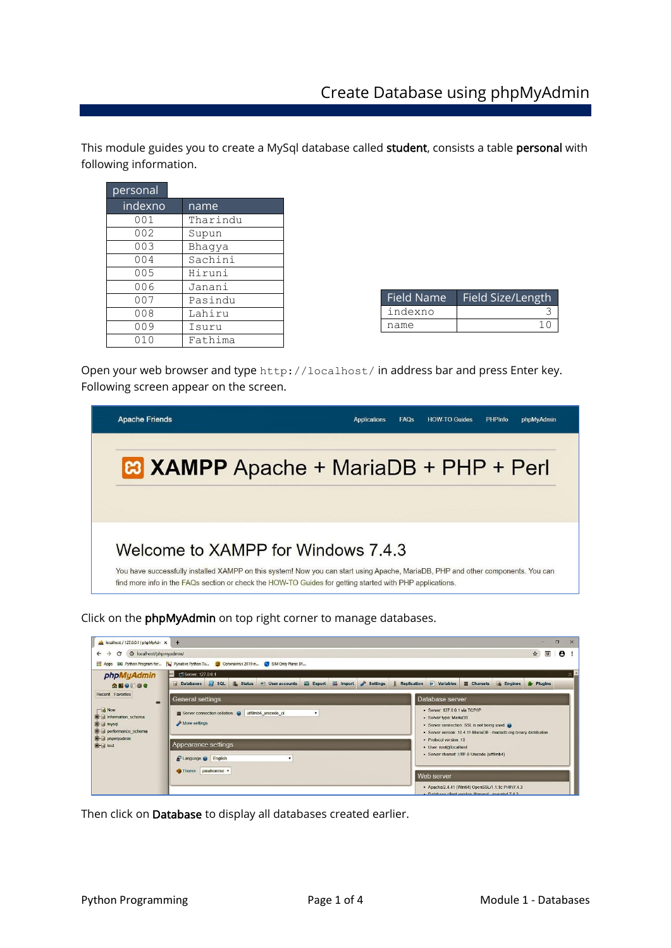This module guides you to create a MySql database called student, consists a table personal with following information.

| personal |          |
|----------|----------|
| indexno  | name     |
| 001      | Tharindu |
| 002      | Supun    |
| 003      | Bhagya   |
| 004      | Sachini  |
| 005      | Hiruni   |
| 006      | Janani   |
| 007      | Pasindu  |
| 008      | Lahiru   |
| 009      | Isuru    |
| 010      | Fathima  |

| Field Size/Length |
|-------------------|
|                   |
|                   |
|                   |

Open your web browser and type http://localhost/ in address bar and press Enter key. Following screen appear on the screen.



Click on the phpMyAdmin on top right corner to manage databases.

| A localhost / 127.0.0.1   phpMyAdr x                                                                                                                                      | $+$                                                                                                                                                                                                                                                 |                                          | $\Box$                | $\times$ |  |  |  |  |
|---------------------------------------------------------------------------------------------------------------------------------------------------------------------------|-----------------------------------------------------------------------------------------------------------------------------------------------------------------------------------------------------------------------------------------------------|------------------------------------------|-----------------------|----------|--|--|--|--|
| <sup>O</sup> localhost/phpmyadmin/<br>$\mathbf{C}$<br>$\rightarrow$<br>$\leftarrow$                                                                                       |                                                                                                                                                                                                                                                     | $\overline{a}$<br>$\boldsymbol{\hat{x}}$ | $\boldsymbol{\Theta}$ |          |  |  |  |  |
|                                                                                                                                                                           | Apps 8G Python Program for W Pynative Python Tu & Coronavirus 2019-n<br>SIM Only Plans: BY                                                                                                                                                          |                                          |                       |          |  |  |  |  |
| phpMyAdmin                                                                                                                                                                | Server: 127.0.0.1                                                                                                                                                                                                                                   |                                          |                       |          |  |  |  |  |
| $\Omega$ do o o c                                                                                                                                                         | $\Box$ sq.<br>Replication O Variables<br>Export import<br>Settings<br><b>Engines</b><br><b>Databases</b><br><b>Status</b><br>all User accounts<br>Charsets                                                                                          | Plugins                                  |                       |          |  |  |  |  |
| Recent Favorites<br>$\infty$<br>$\Box$ New<br>information schema<br><b>B</b> a mysql<br>performance schema<br><b>Company of the State of the State</b><br><b>B</b> G test | General settings<br>Database server                                                                                                                                                                                                                 |                                          |                       |          |  |  |  |  |
|                                                                                                                                                                           | · Server: 127.0.0.1 via TCP/IP<br>Server connection collation: @ utf8mb4_unicode_ci<br>· Server type: MariaDB<br>More settings<br>· Server connection: SSL is not being used<br>· Server version: 10.4.11-MariaDB - mariadb.org binary distribution |                                          |                       |          |  |  |  |  |
|                                                                                                                                                                           | · Protocol version: 10<br>Appearance settings<br>· User: root@localhost                                                                                                                                                                             |                                          |                       |          |  |  |  |  |
|                                                                                                                                                                           | · Server charset: UTF-8 Unicode (utf8mb4)<br>Language @ English                                                                                                                                                                                     |                                          |                       |          |  |  |  |  |
|                                                                                                                                                                           | Theme. pmahomme v<br>Web server                                                                                                                                                                                                                     |                                          |                       |          |  |  |  |  |
|                                                                                                                                                                           | · Apache/2.4.41 (Win64) OpenSSL/1.1.1c PHP/7.4.3<br>· Database client version: librovsol - mysolod 7.4.3                                                                                                                                            |                                          |                       |          |  |  |  |  |

Then click on Database to display all databases created earlier.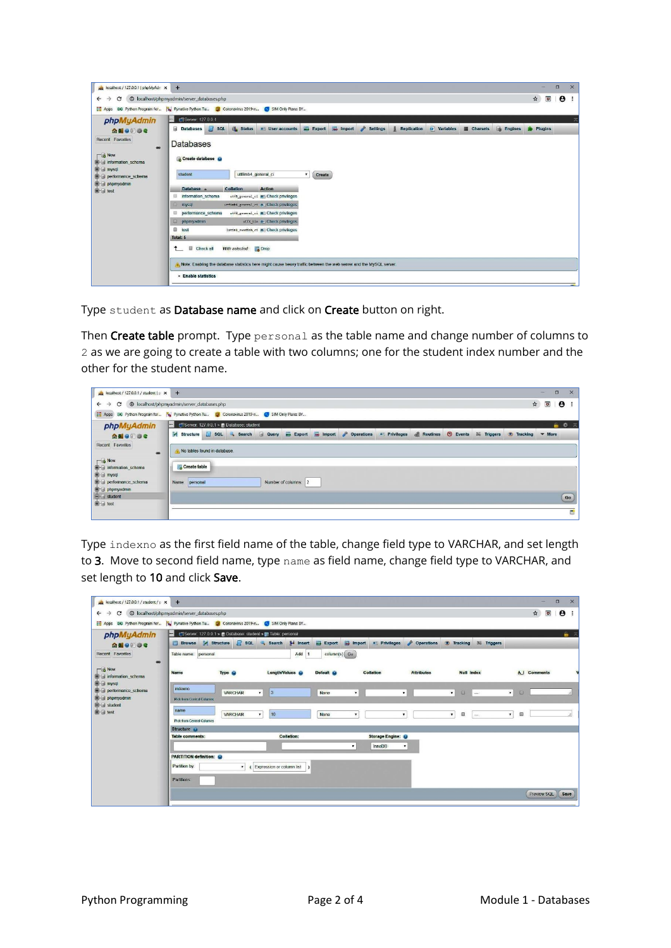| <sup>O</sup> localhost/phpmyadmin/server_databases.php<br>C<br>$\rightarrow$<br>$\leftarrow$<br>Apps 86 Python Program for<br><b>Xy</b> Pynative Python Tu<br>Server: 127.0.0.1<br>phpMyAdmin<br><b>Databases</b><br>企图 ◎ ◎ ◎ ◎<br>Recent Favorites<br><b>Databases</b><br>$rac{1}{2}$<br>$\Box$ New<br>Create database<br><b>Bill information</b> schema<br><b>B</b> a mysql<br>student<br>performance schema<br>phpmyadmin<br>Database a | SIM Only Plans: BY<br>Coronavirus 2019-n<br>$\Box$ sq.<br><b>Status</b><br>a User accounts<br>utf8mb4 general ci                                                                                                                                                                                                                                                                      | $E$ <b>Export</b><br>۰.<br>Create | Import | <b>A</b><br><b>Settings</b> | <b>Replication</b> | $\bullet$ Variables | Charsets | <b>Co</b> Engines | $\boldsymbol{\hat{x}}$<br>$\overline{a}$<br>Plugins | $\boldsymbol{\Theta}$ | ÷ |
|--------------------------------------------------------------------------------------------------------------------------------------------------------------------------------------------------------------------------------------------------------------------------------------------------------------------------------------------------------------------------------------------------------------------------------------------|---------------------------------------------------------------------------------------------------------------------------------------------------------------------------------------------------------------------------------------------------------------------------------------------------------------------------------------------------------------------------------------|-----------------------------------|--------|-----------------------------|--------------------|---------------------|----------|-------------------|-----------------------------------------------------|-----------------------|---|
|                                                                                                                                                                                                                                                                                                                                                                                                                                            |                                                                                                                                                                                                                                                                                                                                                                                       |                                   |        |                             |                    |                     |          |                   |                                                     |                       |   |
| <b>B</b> -B test<br>日<br>information schema<br>mysql<br>performance_schema<br>田<br>$\Box$<br>phpmyadmin<br>$\Box$ test<br>Total: 5<br>Check all<br>$\uparrow$                                                                                                                                                                                                                                                                              | <b>Collation</b><br><b>Action</b><br>utf8_general_c1 am Chock privileges<br>utfanb4 general ci a- Check privileges<br>utf8 general ci all Check privileges<br>utfa bin a Check privileges<br>latin1 swedish_ci m= Check privileges<br>With selected:<br>Drop<br>A. Note. Enabling the database statistics here might cause heavy traffic between the web server and the MySQL server. |                                   |        |                             |                    |                     |          |                   |                                                     |                       |   |

Type student as Database name and click on Create button on right.

Then Create table prompt. Type personal as the table name and change number of columns to 2 as we are going to create a table with two columns; one for the student index number and the other for the student name.

| $\mu$ localhost / 127.0.0.1 / student   p $\times$   | $+$                                                                                                                                                                              | $\Box$                    | $\times$              |
|------------------------------------------------------|----------------------------------------------------------------------------------------------------------------------------------------------------------------------------------|---------------------------|-----------------------|
| C<br>$\leftarrow$<br>$\rightarrow$                   | $\mathbf{\hat{x}}$<br><sup>O</sup> localhost/phpmyadmin/server_databases.php                                                                                                     | $\overline{a}$            | $\boldsymbol{\Theta}$ |
|                                                      | Apps 8G Python Program for % Pynative Python Tu @ Coronavirus 2019-n < SIM Only Plans: BY                                                                                        |                           |                       |
| phpMyAdmin                                           | $\left  - \right $<br>Server. 127.0.0.1 » Database: student                                                                                                                      |                           | 自尊ス                   |
| $\Omega$ alonec                                      | $\Box$ sol<br>Export in Import Coperations and Privileges<br><b>Routines</b><br>$\odot$ Events<br><b>A</b> Structure<br><b>Query</b><br>Search<br>36 Triggers<br><b>Tracking</b> | $\blacktriangledown$ More |                       |
| Recent Favorites<br>60                               | No tables found in database.                                                                                                                                                     |                           |                       |
| $\Box$ New<br>information schoma<br><b>B</b> a mysql | Create table                                                                                                                                                                     |                           |                       |
| el-performance_schema<br>phpmyadmin                  | Number of columns: 2<br>personal<br>Name:                                                                                                                                        |                           |                       |
| $\leftarrow$ student                                 |                                                                                                                                                                                  |                           | Go                    |
| <b>B</b> a test                                      |                                                                                                                                                                                  |                           | н                     |

Type indexno as the first field name of the table, change field type to VARCHAR, and set length to 3. Move to second field name, type name as field name, change field type to VARCHAR, and set length to 10 and click Save.

| $\mu$ localhost / 127.0.0.1 / student / p $\times$<br>$\rightarrow$<br>$\mathbf{C}$<br>$\leftarrow$                                                        | $+$<br>© localhost/phpmyadmin/server_databases.php                                                                 |                                |                                    |                |                                |                                           |                   |                        |              |                        | <b>September</b><br>ভ<br>$\hat{p}$ | X<br>$\Box$<br>$\boldsymbol{\Theta}$<br>÷ |
|------------------------------------------------------------------------------------------------------------------------------------------------------------|--------------------------------------------------------------------------------------------------------------------|--------------------------------|------------------------------------|----------------|--------------------------------|-------------------------------------------|-------------------|------------------------|--------------|------------------------|------------------------------------|-------------------------------------------|
| Apps 86 Python Program for By Pynative Python Tu 6 Coronavirus 2019-n                                                                                      |                                                                                                                    |                                | SIM Only Plans: BY                 |                |                                |                                           |                   |                        |              |                        |                                    |                                           |
| phpMyAdmin<br>$\triangle$ and $\Theta$ of $\Theta$                                                                                                         | Server: 127.0.0.1 » Database: student » [ Table: personal<br>$\overline{ }$<br><b>Browse</b><br><b>M</b> Structure | $\Box$ sq.                     | <b>See Insert</b><br><b>Search</b> | $E$ Export     | Import                         | a Privileges                              | Operations        | <b>Co</b> Tracking     | 36 Triggers  |                        |                                    | 画下                                        |
| Recent Favorites<br>$\infty$                                                                                                                               | Table name: personal                                                                                               |                                | Add 1                              | $column(s)$ Go |                                |                                           |                   |                        |              |                        |                                    |                                           |
| $\Box$ New<br>information schema<br><b>B</b> mysql<br><b>B-a</b> performance schema<br><b>Debuty</b> phpmyadmin<br><b>E</b> -B student<br><b>B</b> at test | <b>Name</b><br>Type @                                                                                              |                                | Length/Values (                    | Default @      | <b>Collation</b>               |                                           | <b>Attributes</b> | <b>Null Index</b>      |              |                        | <b>A.J</b> Comments                |                                           |
|                                                                                                                                                            | indexno<br><b>Pick from Central Columns</b>                                                                        | <b>VARCHAR</b><br>$\mathbf{v}$ | 3                                  | None           | $\rightarrow$ [[ $\rightarrow$ | $\mathbf{v}$                              |                   | $\mathbf{r}$<br>$\Box$ | $\mathbb{R}$ | $\mathbf{v}$<br>$\Box$ |                                    |                                           |
|                                                                                                                                                            | name<br><b>Pick from Central Columns</b>                                                                           | VARCHAR<br>۰                   | 10                                 | None           | $\mathbf{v}$                   | ۰                                         |                   | Θ<br>$\mathbf r$       | $\sim$       | 目<br>$\bullet$         |                                    |                                           |
|                                                                                                                                                            | Structure @                                                                                                        |                                |                                    |                |                                |                                           |                   |                        |              |                        |                                    |                                           |
|                                                                                                                                                            | Table comments:                                                                                                    |                                | <b>Collation:</b>                  |                | $\mathbf{r}$                   | Storage Engine:<br>InnoDB<br>$\mathbf{r}$ |                   |                        |              |                        |                                    |                                           |
|                                                                                                                                                            | <b>PARTITION definition:</b><br>Partition by:<br>Partitions                                                        | $\mathbf{r}$                   | (Expression or column list         |                |                                |                                           |                   |                        |              |                        |                                    |                                           |
|                                                                                                                                                            |                                                                                                                    |                                |                                    |                |                                |                                           |                   |                        |              |                        | <b>Preview SQL</b>                 | Save                                      |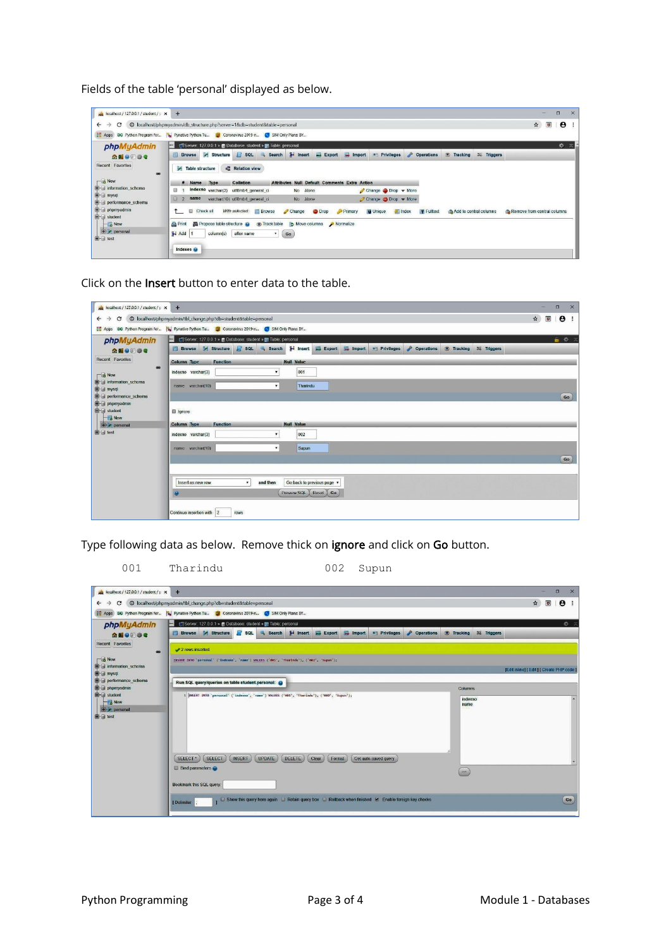Fields of the table 'personal' displayed as below.



Click on the Insert button to enter data to the table.

| $\mu$ localhost / 127.0.0.1 / student / p $\times$                                                                                                                            | $+$                                                                                                                                                | X<br>$\Box$<br><b>Sec</b>                                                             |  |  |  |  |  |  |  |
|-------------------------------------------------------------------------------------------------------------------------------------------------------------------------------|----------------------------------------------------------------------------------------------------------------------------------------------------|---------------------------------------------------------------------------------------|--|--|--|--|--|--|--|
| $\leftarrow$ $\rightarrow$                                                                                                                                                    |                                                                                                                                                    | $\mathbf{\hat{x}}$<br>$\boldsymbol{\Theta}$<br>$\overline{a}$<br>$\ddot{\phantom{1}}$ |  |  |  |  |  |  |  |
|                                                                                                                                                                               | Apps 86 Python Program for By Pynative Python Tu Bo Coronavirus 2019-n G SIM Only Plans: BY                                                        |                                                                                       |  |  |  |  |  |  |  |
| phpMyAdmin                                                                                                                                                                    | Server: 127.0.0.1 » Database: student » III Table: personal<br>H                                                                                   |                                                                                       |  |  |  |  |  |  |  |
| $\Omega$ do o o c                                                                                                                                                             | Browse M Structure & SQL & Search 3 Insert<br><b>D</b> Operations<br>$E$ Export<br>$\Box$ Import<br>a Privileges<br><b>Tracking</b><br>36 Triggers |                                                                                       |  |  |  |  |  |  |  |
| Recent Favorites<br>60<br>$\Box$ New<br><b>Community</b> information schema<br><b>B</b> a mysql<br><b>B</b> -@ performance_schema<br>phpmyadmin<br><b>E</b> -B student<br>New | <b>Null Value</b><br><b>Column Type</b><br><b>Function</b>                                                                                         |                                                                                       |  |  |  |  |  |  |  |
|                                                                                                                                                                               | 001<br>$\pmb{\mathbf{v}}$<br>indexno varchar(3)                                                                                                    |                                                                                       |  |  |  |  |  |  |  |
|                                                                                                                                                                               | Tharindu<br>$\mathbf{v}$<br>name varchar(10)                                                                                                       | Go                                                                                    |  |  |  |  |  |  |  |
|                                                                                                                                                                               | <b>B</b> Ignore                                                                                                                                    |                                                                                       |  |  |  |  |  |  |  |
| <b>+ personal</b>                                                                                                                                                             | <b>Null Value</b><br>Column Type<br><b>Function</b>                                                                                                |                                                                                       |  |  |  |  |  |  |  |
| <b>B</b> at test                                                                                                                                                              | 002<br>$\mathbf{v}$<br>indexno varchar(3)                                                                                                          |                                                                                       |  |  |  |  |  |  |  |
|                                                                                                                                                                               | name varchar(10)<br>$\pmb{\mathsf{v}}$<br>Supun                                                                                                    |                                                                                       |  |  |  |  |  |  |  |
|                                                                                                                                                                               |                                                                                                                                                    | Go                                                                                    |  |  |  |  |  |  |  |
|                                                                                                                                                                               |                                                                                                                                                    |                                                                                       |  |  |  |  |  |  |  |
|                                                                                                                                                                               | Go back to previous page<br>Insert as new row<br>and then<br>۰                                                                                     |                                                                                       |  |  |  |  |  |  |  |
|                                                                                                                                                                               | Preview SQL Reset Go                                                                                                                               |                                                                                       |  |  |  |  |  |  |  |
|                                                                                                                                                                               | <b>TOWS</b><br>Continue insertion with 2                                                                                                           |                                                                                       |  |  |  |  |  |  |  |

Type following data as below. Remove thick on ignore and click on Go button.

## 001 Tharindu 002 Supun

| $\mu$ localhost / 127.0.0.1 / student / p $\times$ | $+$                                                                                                                                                                               | $\Box$<br>$\times$                                                   |
|----------------------------------------------------|-----------------------------------------------------------------------------------------------------------------------------------------------------------------------------------|----------------------------------------------------------------------|
| C<br>$\leftarrow$                                  | © localhost/phpmyadmin/tbl_change.php?db=student&table=personal                                                                                                                   | $\bigstar$<br>$\overline{a}$<br>$\mathbf{e}$<br>$\ddot{\phantom{1}}$ |
|                                                    | [11] Apps  DO Python Program for      $\mathcal{Y}_M$ Pynative Python Tu      20   Coronavirus 2019-n    C   SIM Only Plans: BY                                                   |                                                                      |
| phpMyAdmin                                         | Ell Server: 127.0.0.1 » @ Database: student » [ Table: personal                                                                                                                   | 数 云                                                                  |
| <b>全国9回委员</b>                                      | <b>M</b> Structure<br><b>E</b> rowse<br>$\frac{1}{2}$ insert<br>Import<br><b>D</b> Operations<br>$\sqrt{3}$ sq.<br>$E$ <b>Export</b><br>a Privileges<br><b>Tracking</b><br>Search | 36 Triggers                                                          |
| Recent Favorites                                   | 2 rows inserted.                                                                                                                                                                  |                                                                      |
| $\bullet$<br>$\Box$ New                            | INSERT INTO 'personal' ('indexno', 'name') VALUES ('001', 'Tharindu'), ('002', 'Supun');                                                                                          |                                                                      |
| information schema                                 |                                                                                                                                                                                   | [Edit inline]   Edit   [ Create PHP code ]                           |
| <b>B</b> a mysql<br>performance_schema             | Run SQL query/queries on table student.personal:                                                                                                                                  |                                                                      |
| <b>De phpmyadmin</b>                               |                                                                                                                                                                                   | <b>Columns</b>                                                       |
| <b>B</b> -B student<br><b>B</b> New                | 1  INSERT INTO 'personal' ('indexno', 'name') VALUES ('001', 'Tharindu'), ('002', 'Supun');                                                                                       | indexno<br>$\overline{a}$<br>name                                    |
| <b>Profit personal</b>                             |                                                                                                                                                                                   |                                                                      |
| <b>B</b> -In test                                  |                                                                                                                                                                                   |                                                                      |
|                                                    |                                                                                                                                                                                   |                                                                      |
|                                                    |                                                                                                                                                                                   |                                                                      |
|                                                    | <b>SELECT</b><br>UPDATE<br>DELETE<br>SELECT*<br><b>INSERT</b><br>Clear<br>Format<br>Get auto-saved query                                                                          |                                                                      |
|                                                    | <b>Bind parameters</b>                                                                                                                                                            |                                                                      |
|                                                    |                                                                                                                                                                                   | $\ll$                                                                |
|                                                    | Bookmark this SQL query.                                                                                                                                                          |                                                                      |
|                                                    | □ Show this query here again □ Retain query box □ Rollback when finished 년 Enable foreign key checks<br>  Delimiter                                                               | Go                                                                   |
|                                                    |                                                                                                                                                                                   |                                                                      |